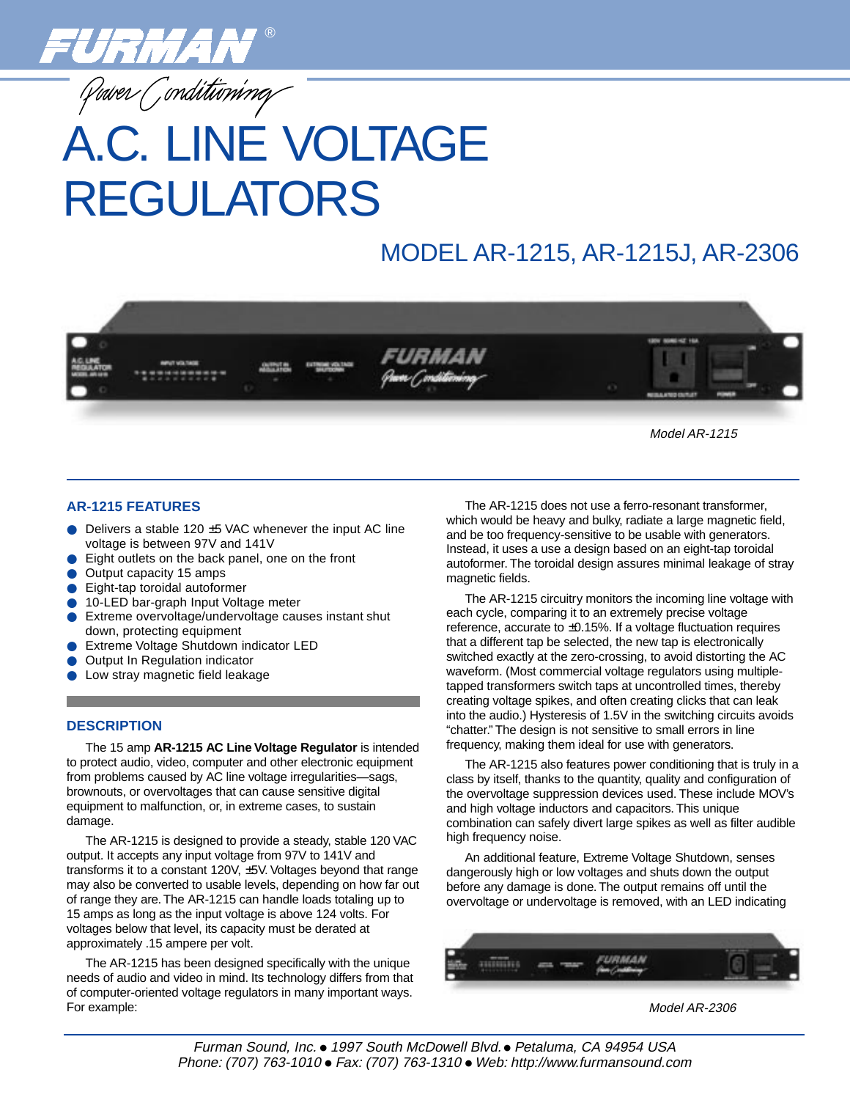

Power Conditioning

# A.C. LINE VOLTAGE REGULATORS

## MODEL AR-1215, AR-1215J, AR-2306



Model AR-1215

### **AR-1215 FEATURES**

- Delivers a stable 120  $\pm$ 5 VAC whenever the input AC line voltage is between 97V and 141V
- Eight outlets on the back panel, one on the front
- Output capacity 15 amps
- Eight-tap toroidal autoformer
- 10-LED bar-graph Input Voltage meter
- Extreme overvoltage/undervoltage causes instant shut down, protecting equipment
- **Extreme Voltage Shutdown indicator LED**
- **Output In Regulation indicator**
- Low stray magnetic field leakage

### **DESCRIPTION**

The 15 amp **AR-1215 AC Line Voltage Regulator** is intended to protect audio, video, computer and other electronic equipment from problems caused by AC line voltage irregularities—sags, brownouts, or overvoltages that can cause sensitive digital equipment to malfunction, or, in extreme cases, to sustain damage.

The AR-1215 is designed to provide a steady, stable 120 VAC output. It accepts any input voltage from 97V to 141V and transforms it to a constant 120V, ±5V. Voltages beyond that range may also be converted to usable levels, depending on how far out of range they are. The AR-1215 can handle loads totaling up to 15 amps as long as the input voltage is above 124 volts. For voltages below that level, its capacity must be derated at approximately .15 ampere per volt.

The AR-1215 has been designed specifically with the unique needs of audio and video in mind. Its technology differs from that of computer-oriented voltage regulators in many important ways. For example:

The AR-1215 does not use a ferro-resonant transformer, which would be heavy and bulky, radiate a large magnetic field, and be too frequency-sensitive to be usable with generators. Instead, it uses a use a design based on an eight-tap toroidal autoformer. The toroidal design assures minimal leakage of stray magnetic fields.

The AR-1215 circuitry monitors the incoming line voltage with each cycle, comparing it to an extremely precise voltage reference, accurate to ±0.15%. If a voltage fluctuation requires that a different tap be selected, the new tap is electronically switched exactly at the zero-crossing, to avoid distorting the AC waveform. (Most commercial voltage regulators using multipletapped transformers switch taps at uncontrolled times, thereby creating voltage spikes, and often creating clicks that can leak into the audio.) Hysteresis of 1.5V in the switching circuits avoids "chatter." The design is not sensitive to small errors in line frequency, making them ideal for use with generators.

The AR-1215 also features power conditioning that is truly in a class by itself, thanks to the quantity, quality and configuration of the overvoltage suppression devices used. These include MOV's and high voltage inductors and capacitors. This unique combination can safely divert large spikes as well as filter audible high frequency noise.

An additional feature, Extreme Voltage Shutdown, senses dangerously high or low voltages and shuts down the output before any damage is done. The output remains off until the overvoltage or undervoltage is removed, with an LED indicating



Model AR-2306

Furman Sound, Inc. ● 1997 South McDowell Blvd. ● Petaluma, CA 94954 USA Phone: (707) 763-1010 ● Fax: (707) 763-1310 ● Web: http://www.furmansound.com